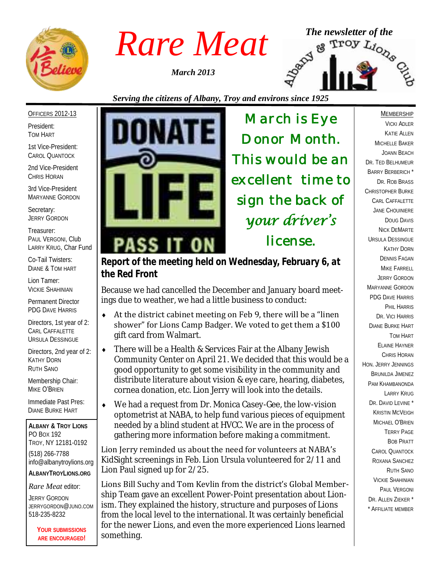

*March 2013*



#### *Serving the citizens of Albany, Troy and environs since 1925*

#### OFFICERS 2012-13

President: TOM HART

1st Vice-President: CAROL QUANTOCK

2nd Vice-President CHRIS HORAN

3rd Vice-President MARYANNE GORDON

Secretary: JERRY GORDON

Treasurer: PAUL VERGONI, Club LARRY KRUG, Char Fund

Co-Tail Twisters: DIANE & TOM HART

Lion Tamer: VICKIE SHAHINIAN

Permanent Director PDG DAVE HARRIS

Directors, 1st year of 2: CARL CAFFALETTE URSULA DESSINGUE

Directors, 2nd year of 2: KATHY DORN RUTH SANO

Membership Chair: MIKE O'BRIEN

Immediate Past Pres: DIANE BURKE HART

**ALBANY & TROY LIONS** PO BOX 192 TROY, NY 12181-0192 (518) 266-7788 info@albanytroylions.org **ALBANYTROYLIONS.ORG**

*Rare Meat* editor:

JERRY GORDON JERRYGORDON@JUNO.COM 518-235-8232

> **YOUR SUBMISSIONS ARE ENCOURAGED!**



*March is Eye Donor Month. This would be an excellent time to sign the back of your driver's license.* 

*Report of the meeting held on Wednesday, February 6, at the Red Front* 

Because we had cancelled the December and January board meetings due to weather, we had a little business to conduct:

- $\triangleleft$  At the district cabinet meeting on Feb 9, there will be a "linen" shower" for Lions Camp Badger. We voted to get them a \$100 gift card from Walmart.
- There will be a Health & Services Fair at the Albany Jewish Community Center on April 21. We decided that this would be a good opportunity to get some visibility in the community and distribute literature about vision & eye care, hearing, diabetes, cornea donation, etc. Lion Jerry will look into the details.
- We had a request from Dr. Monica Casey-Gee, the low-vision optometrist at NABA, to help fund various pieces of equipment needed by a blind student at HVCC. We are in the process of gathering more information before making a commitment.

Lion Jerry reminded us about the need for volunteers at NABA's KidSight screenings in Feb. Lion Ursula volunteered for 2/11 and Lion Paul signed up for 2/25.

Lions Bill Suchy and Tom Kevlin from the district's Global Membership Team gave an excellent Power-Point presentation about Lionism. They explained the history, structure and purposes of Lions from the local level to the international. It was certainly beneficial for the newer Lions, and even the more experienced Lions learned something.

MEMBERSHIP VICKI ADLER KATIE ALLEN MICHELLE BAKER JOANN BEACH DR. TED BELHUMEUR BARRY BERBERICH \* DR. ROB BRASS CHRISTOPHER BURKE CARL CAFFALETTE JANE CHOUINIERE DOUG DAVIS NICK DEMARTE URSULA DESSINGUE KATHY DORN DENNIS FAGAN MIKE FARRELL JERRY GORDON MARYANNE GORDON PDG DAVE HARRIS PHIL HARRIS DR. VICI HARRIS DIANE BURKE HART TOM HART ELAINE HAYNER CHRIS HORAN HON. JERRY JENNINGS BRUNILDA JIMENEZ PAM KHAMBANONDA LARRY KRUG DR. DAVID LEVINE<sup>\*</sup> KRISTIN MCVEIGH MICHAEL O'BRIEN TERRY PAGE BOB PRATT CAROL QUANTOCK ROXANA SANCHEZ RUTH SANO VICKIE SHAHINIAN PAUL VERGONI DR. ALLEN ZIEKER \* \* AFFILIATE MEMBER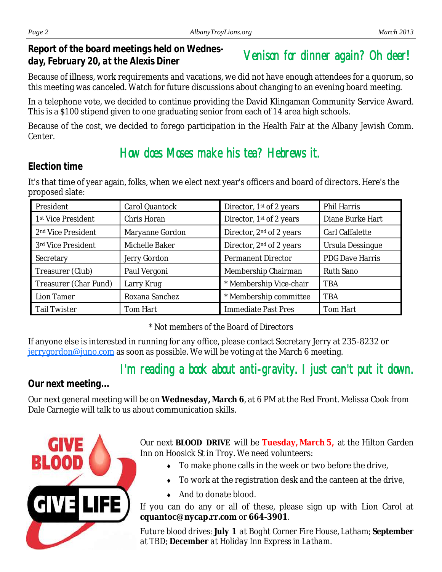*Report of the board meetings held on Wednesday, February 20, at the Alexis Diner* 

# Venison for dinner again? Oh deer!

Because of illness, work requirements and vacations, we did not have enough attendees for a quorum, so this meeting was canceled. Watch for future discussions about changing to an evening board meeting.

In a telephone vote, we decided to continue providing the David Klingaman Community Service Award. This is a \$100 stipend given to one graduating senior from each of 14 area high schools.

Because of the cost, we decided to forego participation in the Health Fair at the Albany Jewish Comm. **Center** 

### How does Moses make his tea? Hebrews it.

#### *Election time*

It's that time of year again, folks, when we elect next year's officers and board of directors. Here's the proposed slate:

| President                      | Carol Quantock  | Director, 1 <sup>st</sup> of 2 years | Phil Harris      |
|--------------------------------|-----------------|--------------------------------------|------------------|
| 1st Vice President             | Chris Horan     | Director, 1st of 2 years             | Diane Burke Hart |
| 2 <sup>nd</sup> Vice President | Maryanne Gordon | Director, 2 <sup>nd</sup> of 2 years | Carl Caffalette  |
| 3rd Vice President             | Michelle Baker  | Director, 2 <sup>nd</sup> of 2 years | Ursula Dessingue |
| Secretary                      | Jerry Gordon    | Permanent Director                   | PDG Dave Harris  |
| Treasurer (Club)               | Paul Vergoni    | Membership Chairman                  | Ruth Sano        |
| Treasurer (Char Fund)          | Larry Krug      | * Membership Vice-chair              | <b>TBA</b>       |
| Lion Tamer                     | Roxana Sanchez  | * Membership committee               | <b>TBA</b>       |
| <b>Tail Twister</b>            | Tom Hart        | Immediate Past Pres                  | Tom Hart         |

*\* Not members of the Board of Directors*

If anyone else is interested in running for any office, please contact Secretary Jerry at 235-8232 or [jerrygordon@juno.com](mailto:jerrygordon@juno.com) as soon as possible. We will be voting at the March 6 meeting.

# I'm reading a book about anti-gravity. I just can't put it down.

### *Our next meeting...*

Our next general meeting will be on **Wednesday, March 6**, at 6 PM at the Red Front. Melissa Cook from Dale Carnegie will talk to us about communication skills.



Our next **BLOOD DRIVE** will be **Tuesday, March 5,** at the Hilton Garden Inn on Hoosick St in Troy. We need volunteers:

- To make phone calls in the week or two before the drive,
- To work at the registration desk and the canteen at the drive,
- ◆ And to donate blood.

If you can do any or all of these, please sign up with Lion Carol at **cquantoc@nycap.rr.com** or **664-3901**.

*Future blood drives: July 1 at Boght Corner Fire House, Latham; September at TBD; December at Holiday Inn Express in Latham.*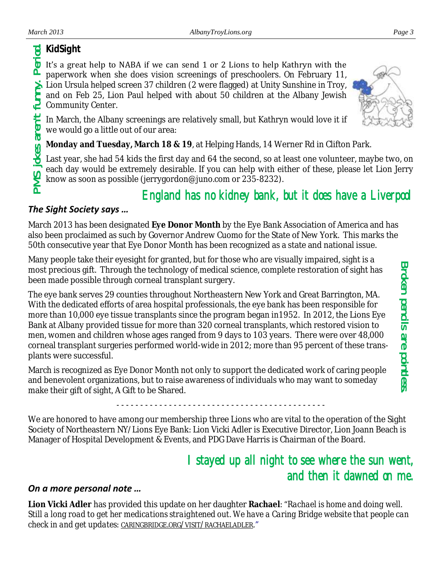### *KidSight*

It's a great help to NABA if we can send 1 or 2 Lions to help Kathryn with the paperwork when she does vision screenings of preschoolers. On February 11, Lion Ursula helped screen 37 children (2 were flagged) at Unity Sunshine in Troy, and on Feb 25, Lion Paul helped with about 50 children at the Albany Jewish Community Center.

In March, the Albany screenings are relatively small, but Kathryn would love it if we would go a little out of our area:

**Monday and Tuesday, March 18 & 19**, at Helping Hands, 14 Werner Rd in Clifton Park.

Last year, she had 54 kids the first day and 64 the second, so at least one volunteer, maybe two, on each day would be extremely desirable. If you can help with either of these, please let Lion Jerry know as soon as possible (jerrygordon@juno.com or 235-8232).

## England has no kidney bank, but it does have a Liverpool

#### *The Sight Society says …*

March 2013 has been designated **Eye Donor Month** by the Eye Bank Association of America and has also been proclaimed as such by Governor Andrew Cuomo for the State of New York. This marks the 50th consecutive year that Eye Donor Month has been recognized as a state and national issue.

Many people take their eyesight for granted, but for those who are visually impaired, sight is a most precious gift. Through the technology of medical science, complete restoration of sight has been made possible through corneal transplant surgery.

The eye bank serves 29 counties throughout Northeastern New York and Great Barrington, MA. With the dedicated efforts of area hospital professionals, the eye bank has been responsible for more than 10,000 eye tissue transplants since the program began in1952. In 2012, the Lions Eye Bank at Albany provided tissue for more than 320 corneal transplants, which restored vision to men, women and children whose ages ranged from 9 days to 103 years. There were over 48,000 corneal transplant surgeries performed world-wide in 2012; more than 95 percent of these transplants were successful. Broken per line is the speaked in the state of the state of the state in the period of the subsequent in the state are provided in the state of the period. The properties when she does vision screenings of preschoolers. O

March is recognized as Eye Donor Month not only to support the dedicated work of caring people and benevolent organizations, but to raise awareness of individuals who may want to someday make their gift of sight, A Gift to be Shared.

We are honored to have among our membership three Lions who are vital to the operation of the Sight Society of Northeastern NY/Lions Eye Bank: Lion Vicki Adler is Executive Director, Lion Joann Beach is Manager of Hospital Development & Events, and PDG Dave Harris is Chairman of the Board.

- - - - - - - - - - - - - - - - - - - - - - - - - - - - - - - - - - - - - - - - - - - -

## I stayed up all night to see where the sun went, and then it dawned on me.

#### *On a more personal note …*

**Lion Vicki Adler** has provided this update on her daughter **Rachael**: "*Rachael is home and doing well. Still a long road to get her medications straightened out. We have a Caring Bridge website that people can check in and get updates: CARINGBRIDGE.ORG/VISIT/[RACHAELADLER](http://www.caringbridge.org/visit/rachaeladler)."*